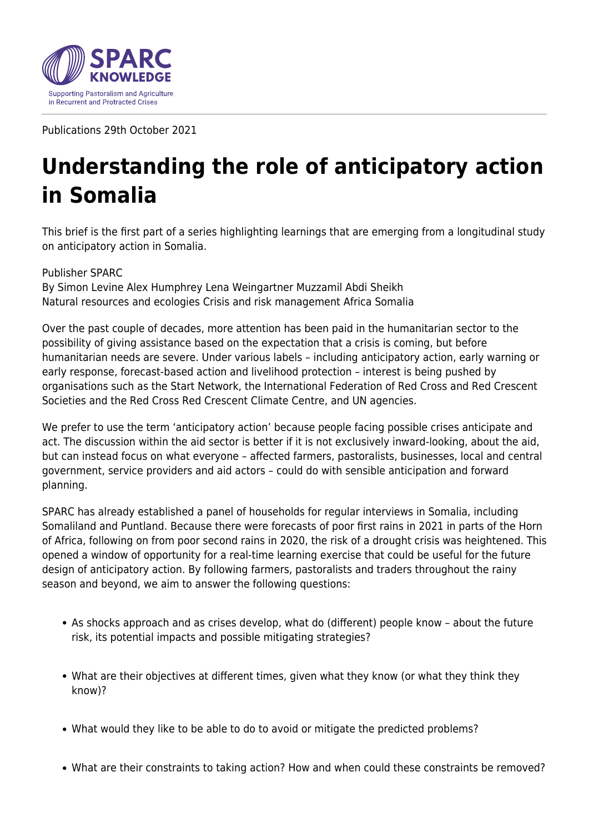

Publications 29th October 2021

## **Understanding the role of anticipatory action in Somalia**

This brief is the first part of a series highlighting learnings that are emerging from a longitudinal study on anticipatory action in Somalia.

Publisher SPARC By Simon Levine Alex Humphrey Lena Weingartner Muzzamil Abdi Sheikh Natural resources and ecologies Crisis and risk management Africa Somalia

Over the past couple of decades, more attention has been paid in the humanitarian sector to the possibility of giving assistance based on the expectation that a crisis is coming, but before humanitarian needs are severe. Under various labels – including anticipatory action, early warning or early response, forecast-based action and livelihood protection – interest is being pushed by organisations such as the Start Network, the International Federation of Red Cross and Red Crescent Societies and the Red Cross Red Crescent Climate Centre, and UN agencies.

We prefer to use the term 'anticipatory action' because people facing possible crises anticipate and act. The discussion within the aid sector is better if it is not exclusively inward-looking, about the aid, but can instead focus on what everyone – affected farmers, pastoralists, businesses, local and central government, service providers and aid actors – could do with sensible anticipation and forward planning.

SPARC has already established a panel of households for regular interviews in Somalia, including Somaliland and Puntland. Because there were forecasts of poor first rains in 2021 in parts of the Horn of Africa, following on from poor second rains in 2020, the risk of a drought crisis was heightened. This opened a window of opportunity for a real-time learning exercise that could be useful for the future design of anticipatory action. By following farmers, pastoralists and traders throughout the rainy season and beyond, we aim to answer the following questions:

- As shocks approach and as crises develop, what do (different) people know about the future risk, its potential impacts and possible mitigating strategies?
- What are their objectives at different times, given what they know (or what they think they know)?
- What would they like to be able to do to avoid or mitigate the predicted problems?
- What are their constraints to taking action? How and when could these constraints be removed?